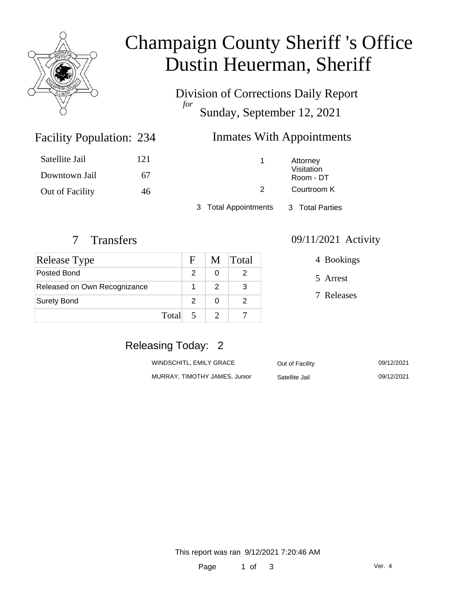

# Champaign County Sheriff 's Office Dustin Heuerman, Sheriff

Division of Corrections Daily Report *for* Sunday, September 12, 2021

### Inmates With Appointments

| Satellite Jail  | 121 |
|-----------------|-----|
| Downtown Jail   | 67  |
| Out of Facility | 46  |

Facility Population: 234

1 Attorney Visitation Room - DT

2 Courtroom K

3 Total Appointments 3 Total Parties

| <b>Release Type</b>          |       | $\mathbf{F}$  |   | M Total |
|------------------------------|-------|---------------|---|---------|
| Posted Bond                  |       | $\mathcal{P}$ | 0 |         |
| Released on Own Recognizance |       |               | 2 |         |
| <b>Surety Bond</b>           |       | $\mathcal{P}$ | 0 |         |
|                              | Total |               |   |         |

#### 7 Transfers 09/11/2021 Activity

4 Bookings

5 Arrest

7 Releases

## Releasing Today: 2

| WINDSCHITL, EMILY GRACE       | Out of Facility | 09/12/2021 |
|-------------------------------|-----------------|------------|
| MURRAY, TIMOTHY JAMES, Junior | Satellite Jail  | 09/12/2021 |

This report was ran 9/12/2021 7:20:46 AM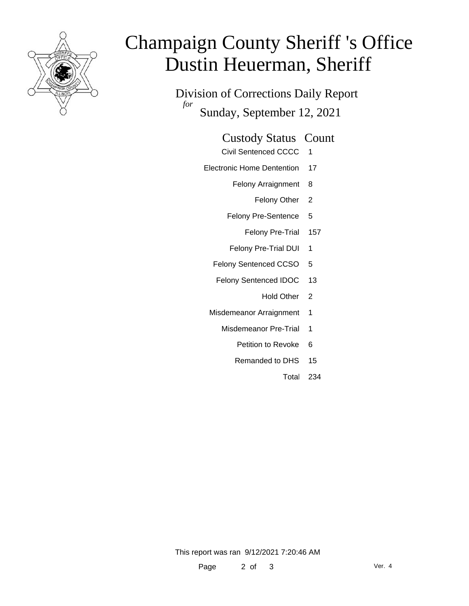

# Champaign County Sheriff 's Office Dustin Heuerman, Sheriff

Division of Corrections Daily Report *for* Sunday, September 12, 2021

#### Custody Status Count

- Civil Sentenced CCCC 1
- Electronic Home Dentention 17
	- Felony Arraignment 8
		- Felony Other 2
	- Felony Pre-Sentence 5
		- Felony Pre-Trial 157
	- Felony Pre-Trial DUI 1
	- Felony Sentenced CCSO 5
	- Felony Sentenced IDOC 13
		- Hold Other 2
	- Misdemeanor Arraignment 1
		- Misdemeanor Pre-Trial 1
			- Petition to Revoke 6
			- Remanded to DHS 15
				- Total 234

This report was ran 9/12/2021 7:20:46 AM